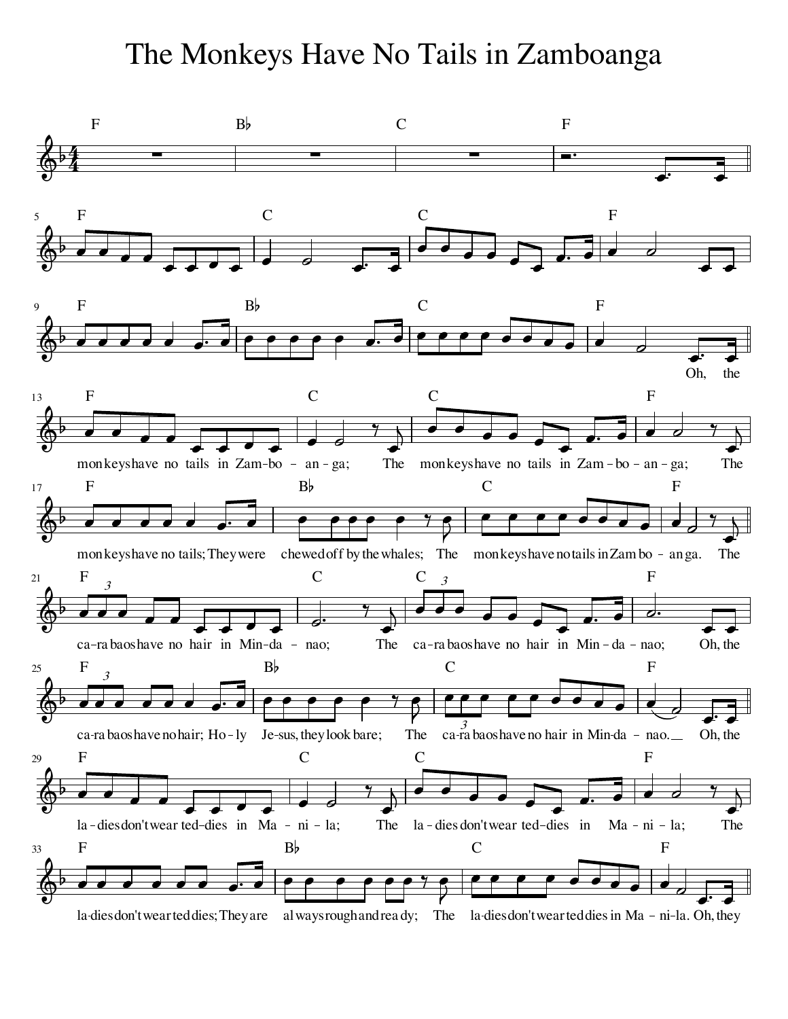## The Monkeys Have No Tails in Zamboanga

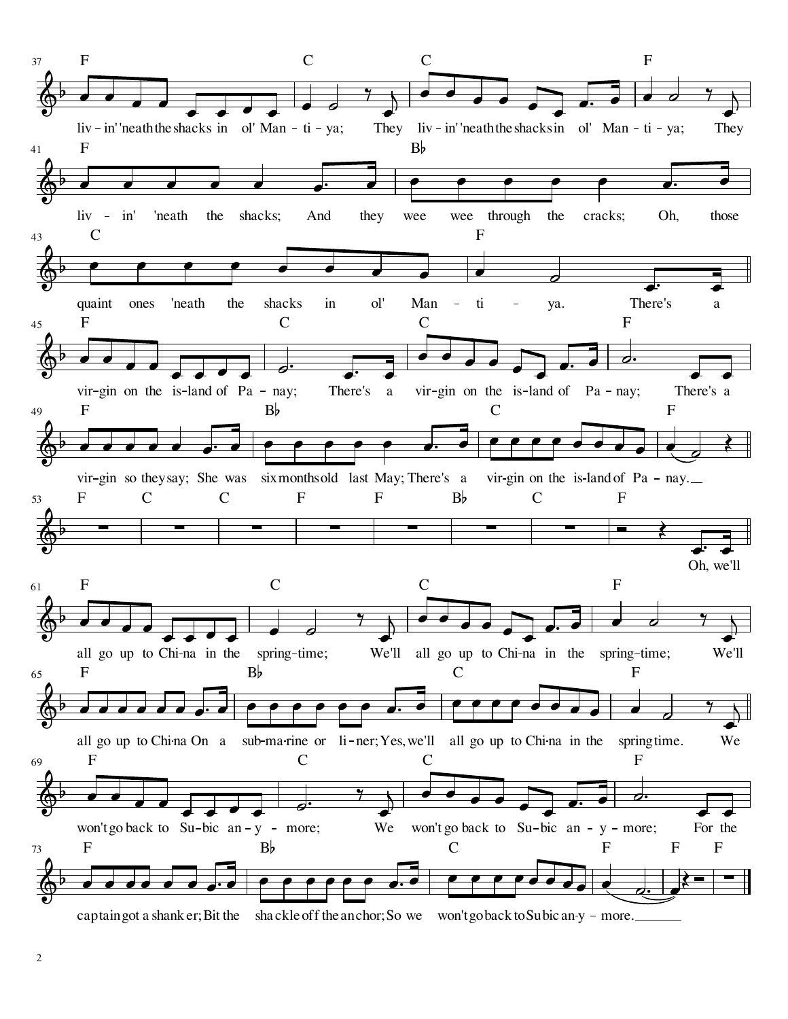![](_page_1_Figure_0.jpeg)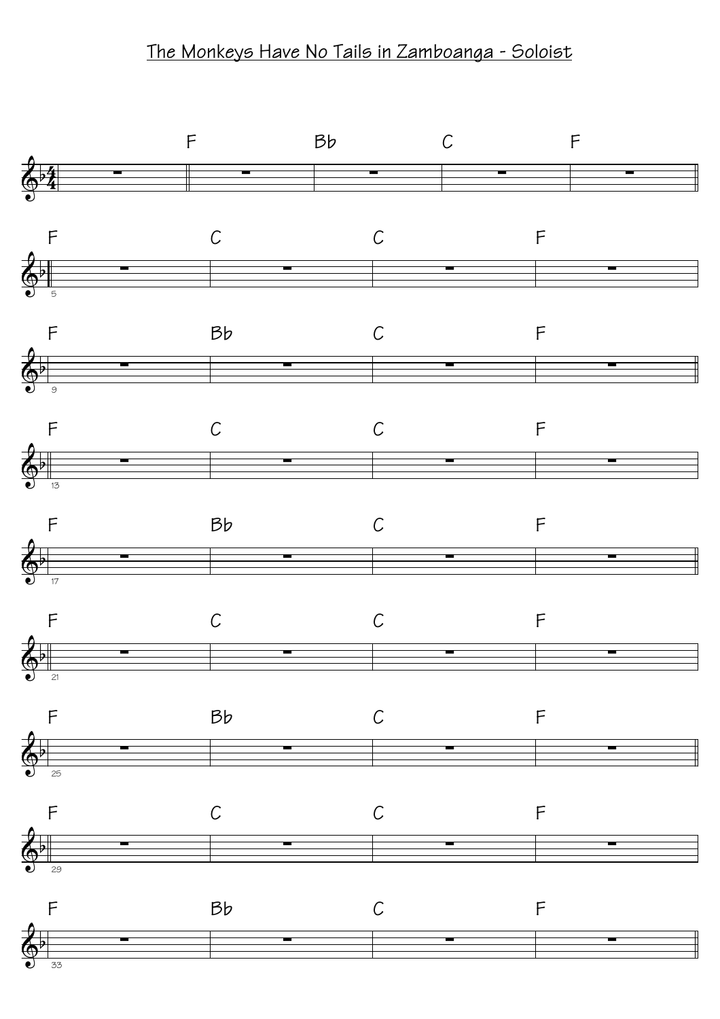## The Monkeys Have No Tails in Zamboanga - Soloist

![](_page_2_Figure_1.jpeg)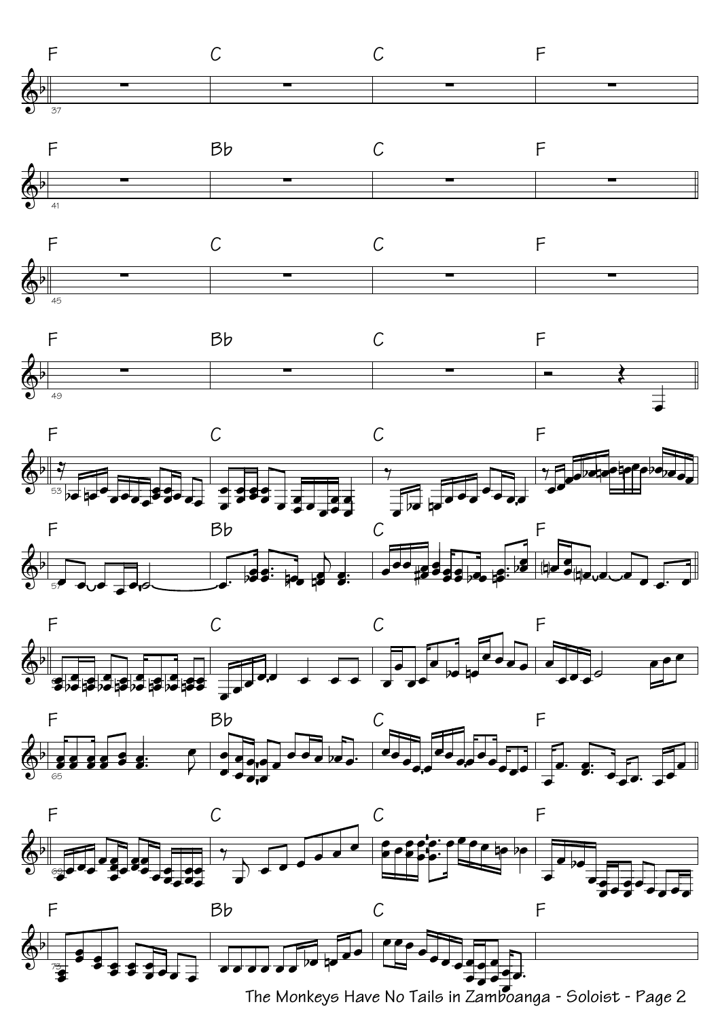![](_page_3_Figure_0.jpeg)

![](_page_3_Figure_1.jpeg)

![](_page_3_Figure_2.jpeg)

![](_page_3_Figure_3.jpeg)

![](_page_3_Figure_4.jpeg)

![](_page_3_Figure_5.jpeg)

![](_page_3_Figure_6.jpeg)

![](_page_3_Figure_7.jpeg)

![](_page_3_Figure_8.jpeg)

![](_page_3_Figure_9.jpeg)

The Monkeys Have No Tails in Zamboanga - Soloist - Page 2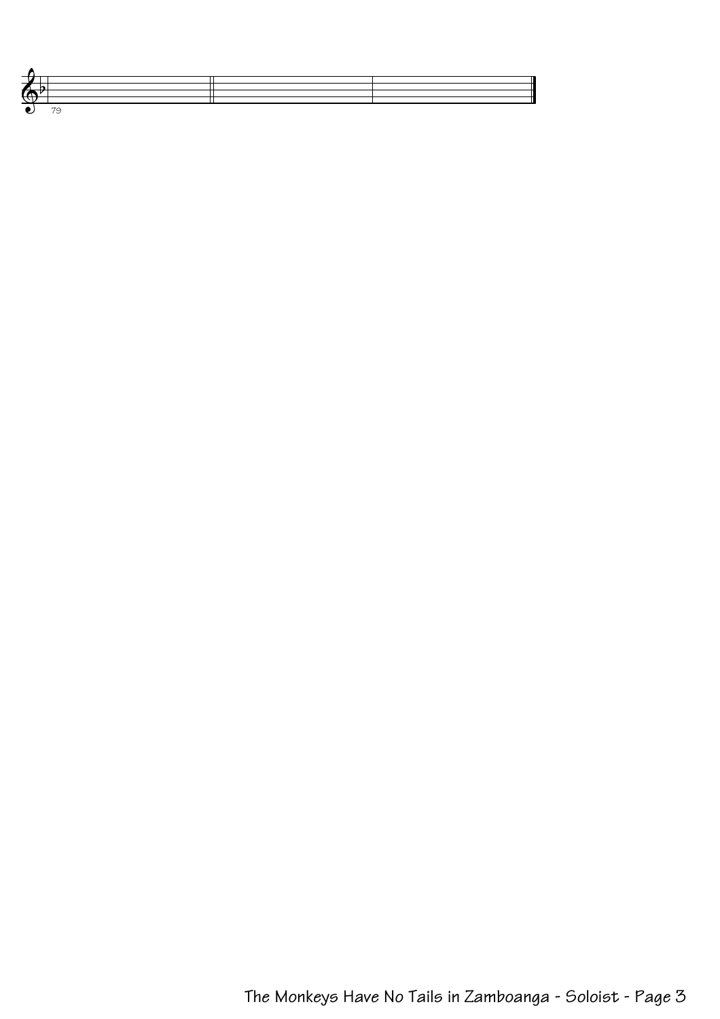![](_page_4_Figure_0.jpeg)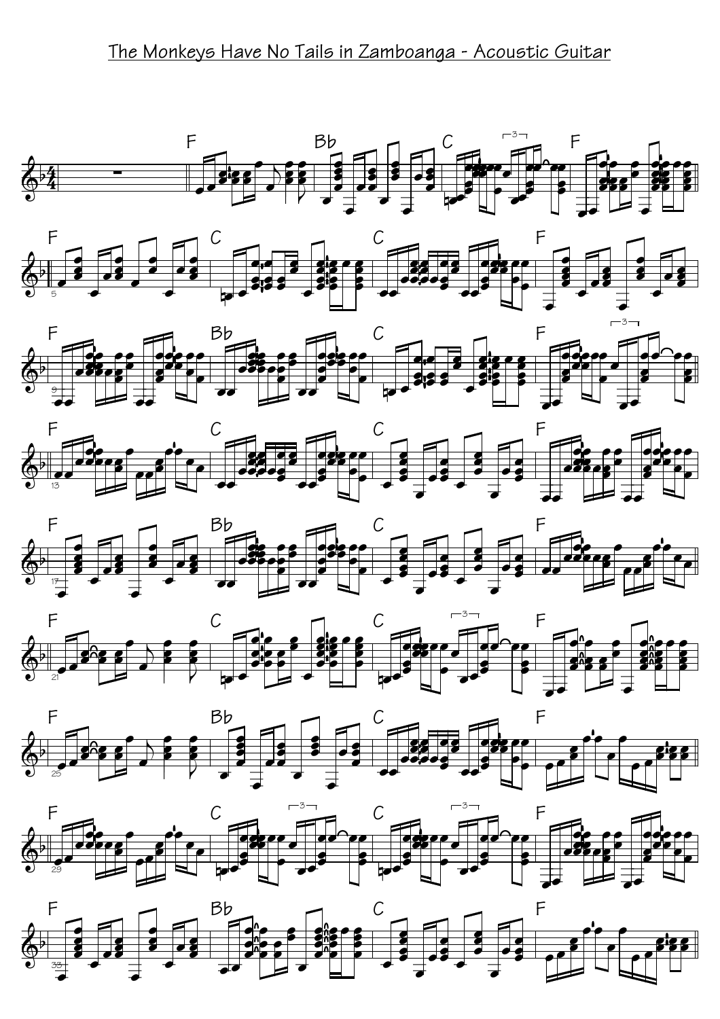![](_page_5_Figure_1.jpeg)

![](_page_5_Figure_2.jpeg)

![](_page_5_Figure_3.jpeg)

![](_page_5_Figure_4.jpeg)

![](_page_5_Figure_5.jpeg)

![](_page_5_Figure_6.jpeg)

![](_page_5_Figure_7.jpeg)

![](_page_5_Figure_8.jpeg)

![](_page_5_Figure_9.jpeg)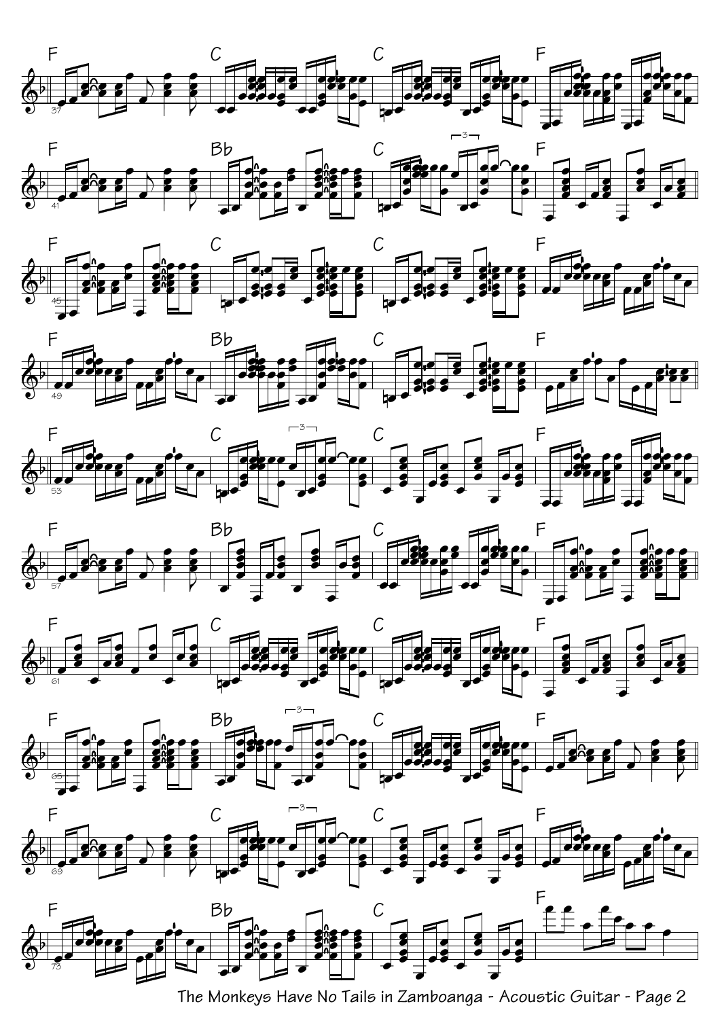![](_page_6_Figure_0.jpeg)

![](_page_6_Figure_1.jpeg)

![](_page_6_Figure_2.jpeg)

![](_page_6_Figure_3.jpeg)

![](_page_6_Figure_4.jpeg)

![](_page_6_Figure_5.jpeg)

![](_page_6_Figure_6.jpeg)

![](_page_6_Figure_7.jpeg)

![](_page_6_Figure_8.jpeg)

![](_page_6_Figure_9.jpeg)

The Monkeys Have No Tails in Zamboanga - Acoustic Guitar - Page 2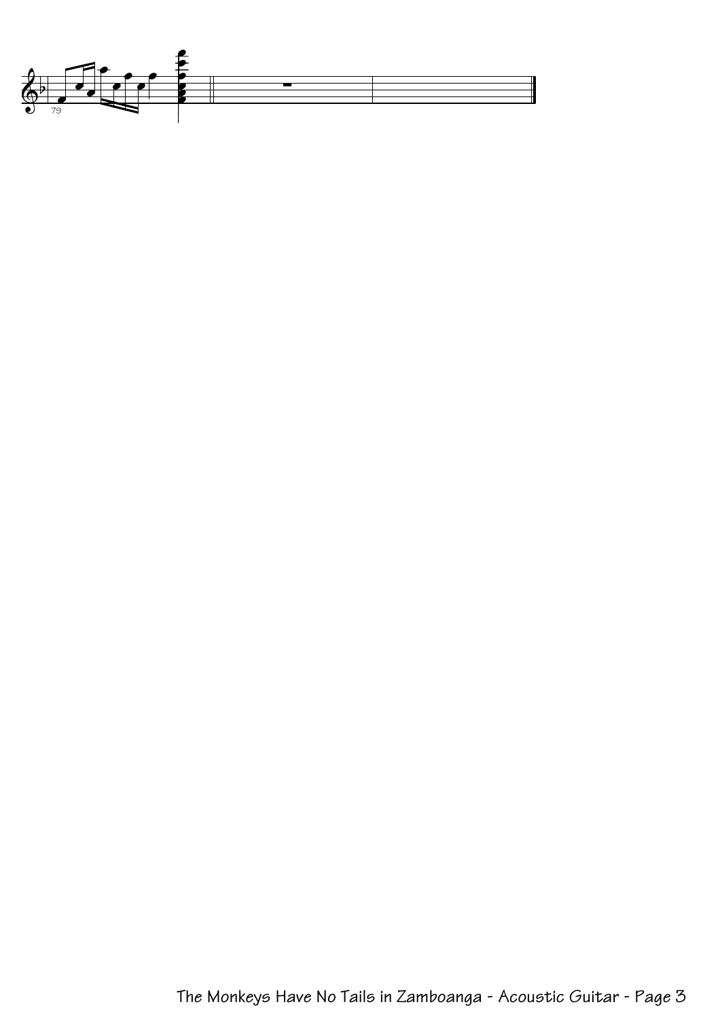![](_page_7_Figure_0.jpeg)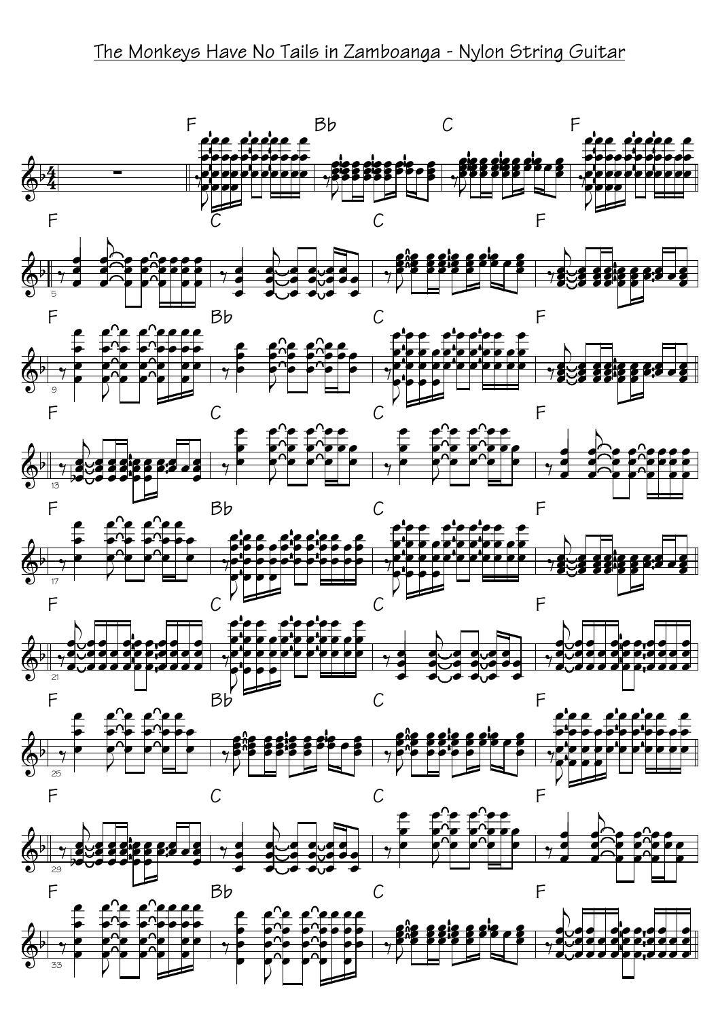![](_page_8_Figure_1.jpeg)

![](_page_8_Figure_2.jpeg)

 $\bigcirc$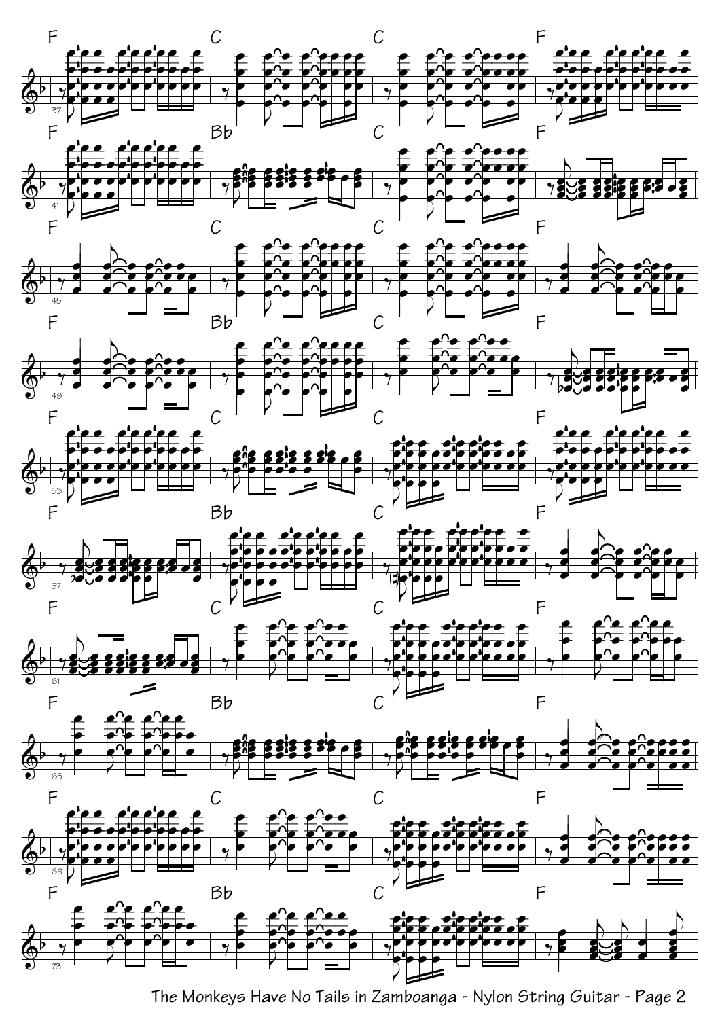![](_page_9_Figure_0.jpeg)

![](_page_9_Figure_1.jpeg)

![](_page_9_Figure_2.jpeg)

![](_page_9_Figure_3.jpeg)

![](_page_9_Figure_4.jpeg)

![](_page_9_Figure_5.jpeg)

![](_page_9_Figure_6.jpeg)

![](_page_9_Figure_7.jpeg)

![](_page_9_Figure_8.jpeg)

 $\bigcirc$ 

73

E

Ð

Ð

Ð

**g** 

**g** 

**d** 

**g** 

The Monkeys Have No Tails in Zamboanga - Nylon String Guitar - Page 2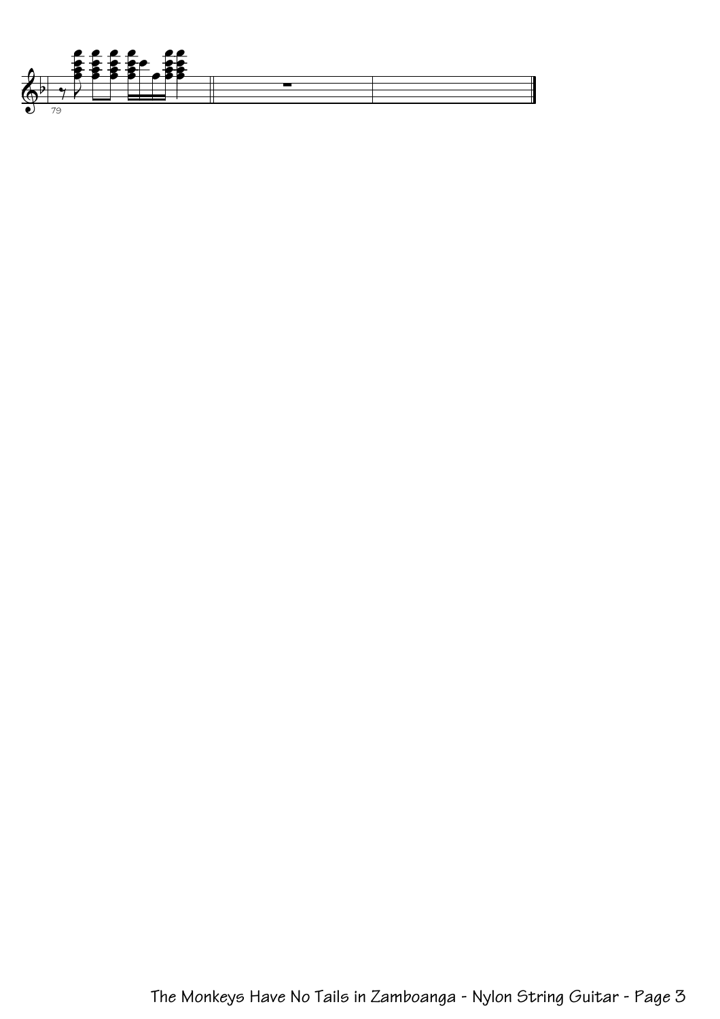![](_page_10_Figure_0.jpeg)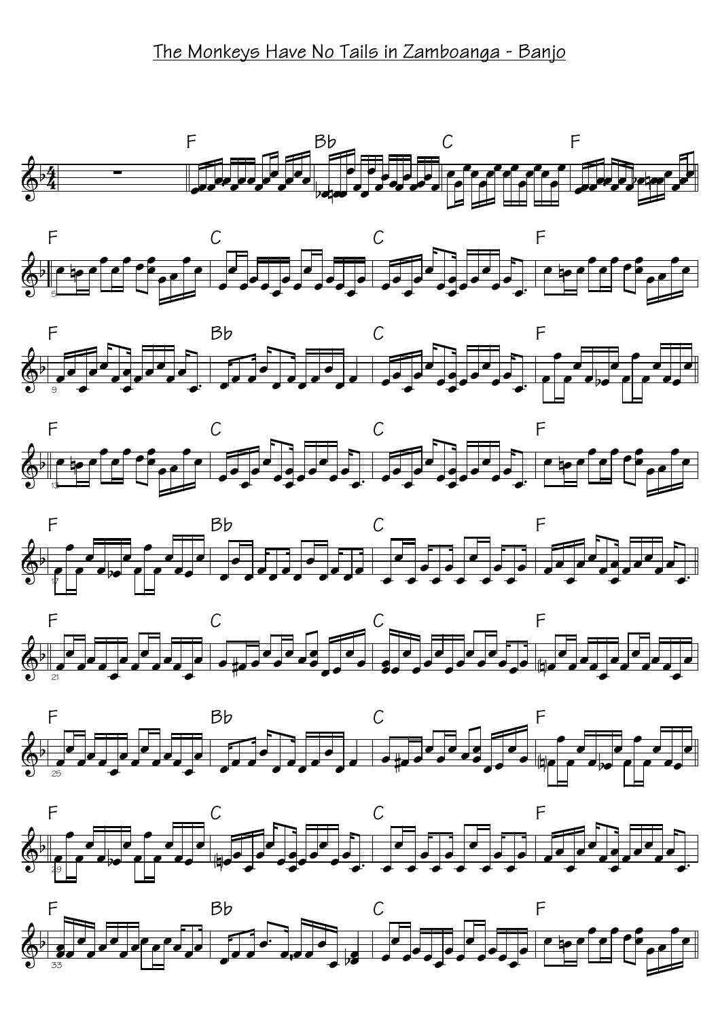![](_page_11_Figure_1.jpeg)

![](_page_11_Figure_2.jpeg)

![](_page_11_Figure_3.jpeg)

![](_page_11_Figure_4.jpeg)

![](_page_11_Figure_5.jpeg)

![](_page_11_Figure_6.jpeg)

![](_page_11_Figure_7.jpeg)

![](_page_11_Figure_8.jpeg)

![](_page_11_Figure_9.jpeg)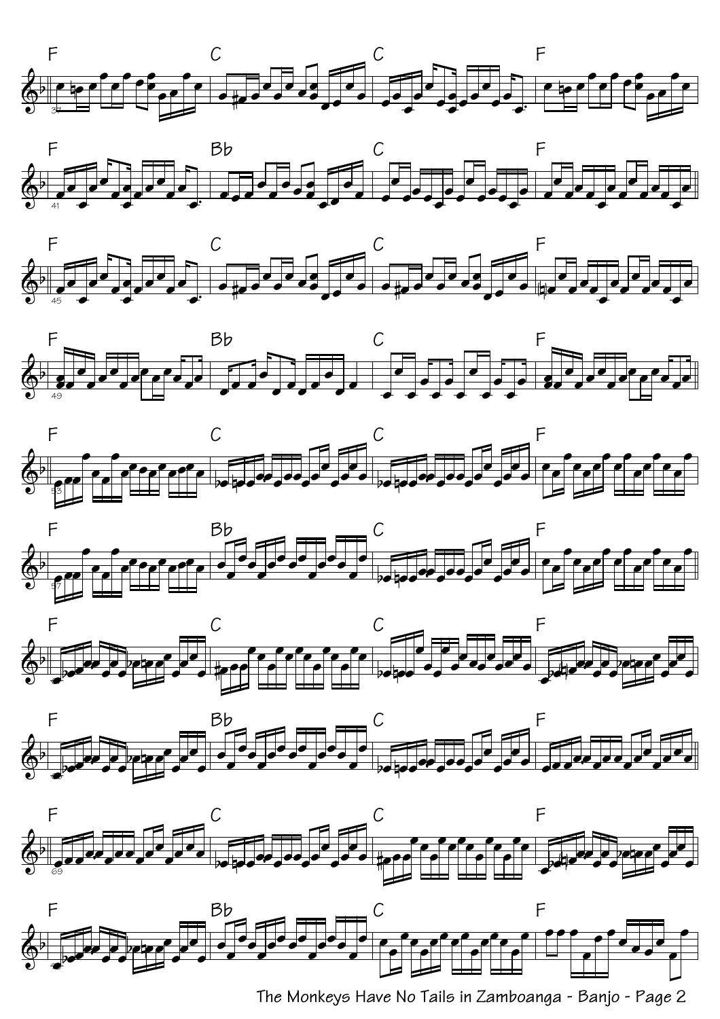![](_page_12_Figure_0.jpeg)

![](_page_12_Figure_1.jpeg)

![](_page_12_Figure_2.jpeg)

![](_page_12_Figure_3.jpeg)

![](_page_12_Figure_4.jpeg)

![](_page_12_Figure_5.jpeg)

![](_page_12_Figure_6.jpeg)

![](_page_12_Figure_7.jpeg)

![](_page_12_Figure_8.jpeg)

![](_page_12_Figure_9.jpeg)

The Monkeys Have No Tails in Zamboanga - Banjo - Page 2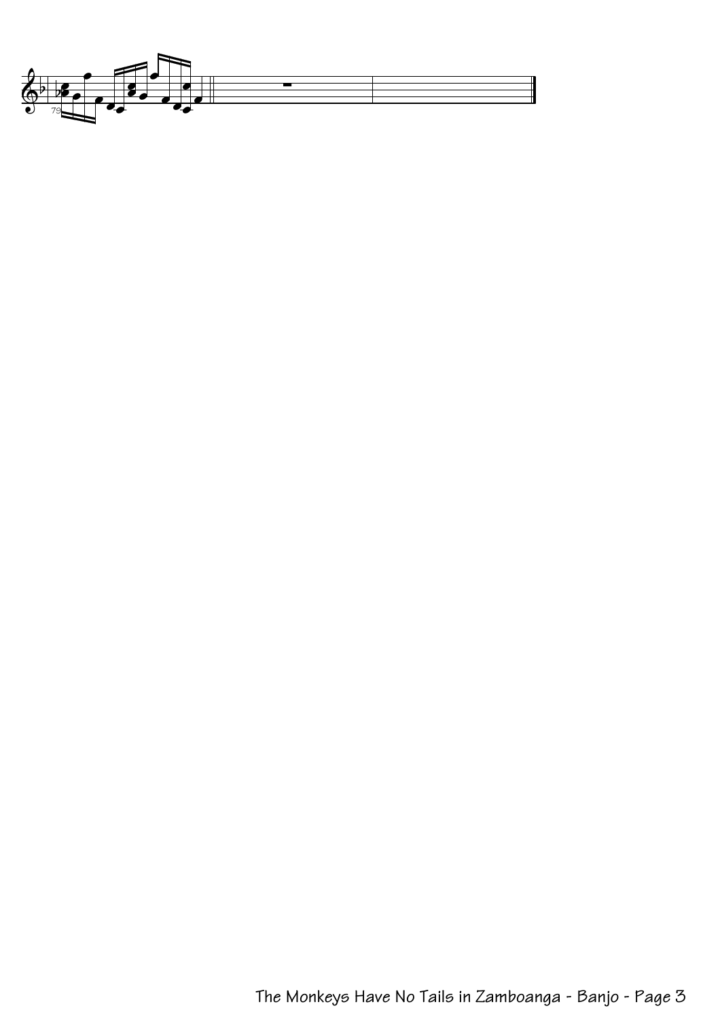![](_page_13_Figure_0.jpeg)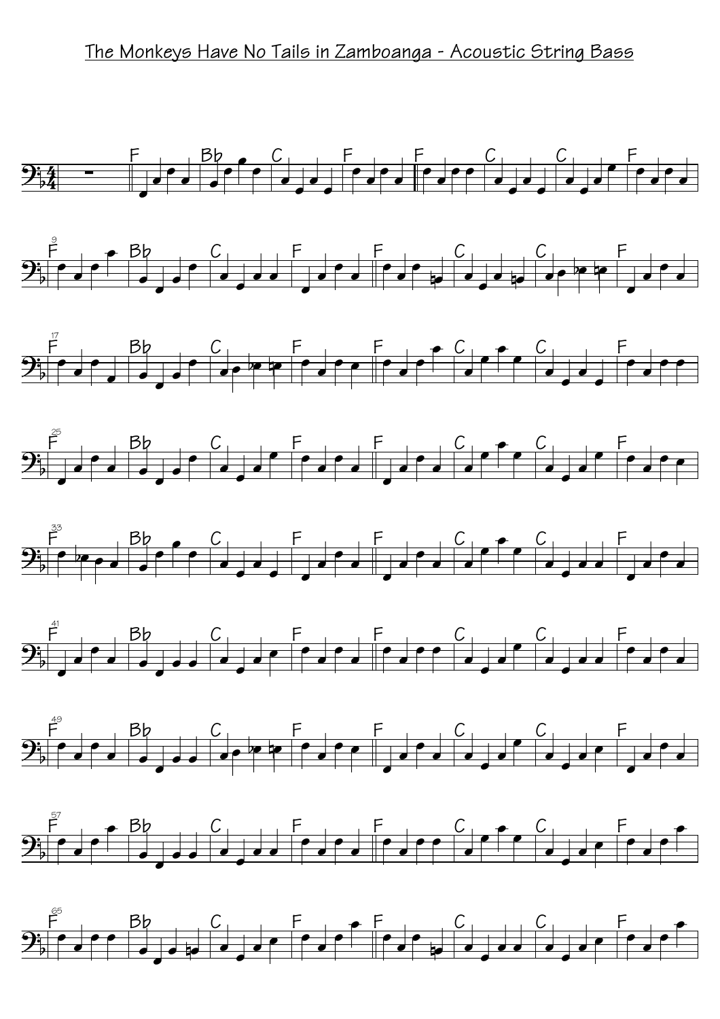## The Monkeys Have No Tails in Zamboanga - Acoustic String Bass

![](_page_14_Figure_1.jpeg)

![](_page_14_Figure_2.jpeg)